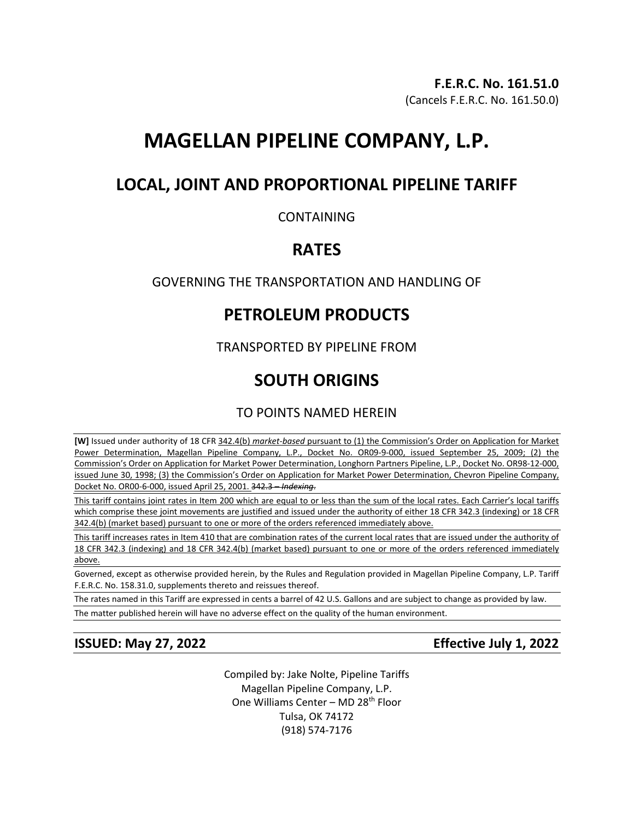# **MAGELLAN PIPELINE COMPANY, L.P.**

## **LOCAL, JOINT AND PROPORTIONAL PIPELINE TARIFF**

## CONTAINING

## **RATES**

## GOVERNING THE TRANSPORTATION AND HANDLING OF

## **PETROLEUM PRODUCTS**

TRANSPORTED BY PIPELINE FROM

# **SOUTH ORIGINS**

TO POINTS NAMED HEREIN

**[W]** Issued under authority of 18 CFR 342.4(b) *market-based* pursuant to (1) the Commission's Order on Application for Market Power Determination, Magellan Pipeline Company, L.P., Docket No. OR09-9-000, issued September 25, 2009; (2) the Commission's Order on Application for Market Power Determination, Longhorn Partners Pipeline, L.P., Docket No. OR98-12-000, issued June 30, 1998; (3) the Commission's Order on Application for Market Power Determination, Chevron Pipeline Company, Docket No. OR00-6-000, issued April 25, 2001. 342.3 – *Indexing*.

This tariff contains joint rates in Item 200 which are equal to or less than the sum of the local rates. Each Carrier's local tariffs which comprise these joint movements are justified and issued under the authority of either 18 CFR 342.3 (indexing) or 18 CFR 342.4(b) (market based) pursuant to one or more of the orders referenced immediately above.

This tariff increases rates in Item 410 that are combination rates of the current local rates that are issued under the authority of 18 CFR 342.3 (indexing) and 18 CFR 342.4(b) (market based) pursuant to one or more of the orders referenced immediately above.

Governed, except as otherwise provided herein, by the Rules and Regulation provided in Magellan Pipeline Company, L.P. Tariff F.E.R.C. No. 158.31.0, supplements thereto and reissues thereof.

The rates named in this Tariff are expressed in cents a barrel of 42 U.S. Gallons and are subject to change as provided by law.

The matter published herein will have no adverse effect on the quality of the human environment.

**ISSUED: May 27, 2022 Effective July 1, 2022**

Compiled by: Jake Nolte, Pipeline Tariffs Magellan Pipeline Company, L.P. One Williams Center – MD 28<sup>th</sup> Floor Tulsa, OK 74172 (918) 574-7176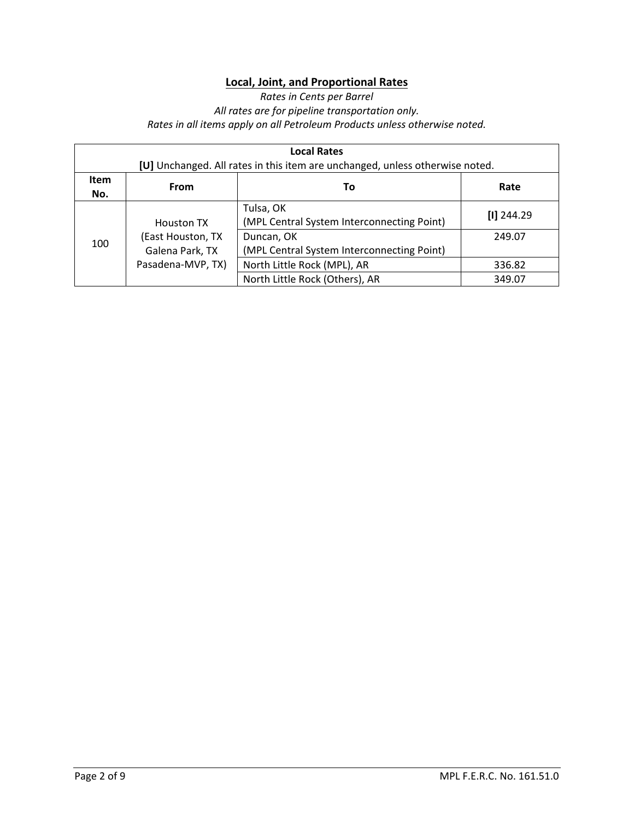## **Local, Joint, and Proportional Rates**

*Rates in Cents per Barrel All rates are for pipeline transportation only. Rates in all items apply on all Petroleum Products unless otherwise noted.* 

| <b>Local Rates</b><br>[U] Unchanged. All rates in this item are unchanged, unless otherwise noted. |                    |                                                         |              |  |
|----------------------------------------------------------------------------------------------------|--------------------|---------------------------------------------------------|--------------|--|
| Item<br>No.                                                                                        | <b>From</b>        | То                                                      | Rate         |  |
|                                                                                                    | Houston TX         | Tulsa, OK<br>(MPL Central System Interconnecting Point) | $[1]$ 244.29 |  |
| 100                                                                                                | (East Houston, TX) | Duncan, OK                                              | 249.07       |  |
|                                                                                                    | Galena Park, TX    | (MPL Central System Interconnecting Point)              |              |  |
|                                                                                                    | Pasadena-MVP, TX)  | North Little Rock (MPL), AR                             | 336.82       |  |
|                                                                                                    |                    | North Little Rock (Others), AR                          | 349.07       |  |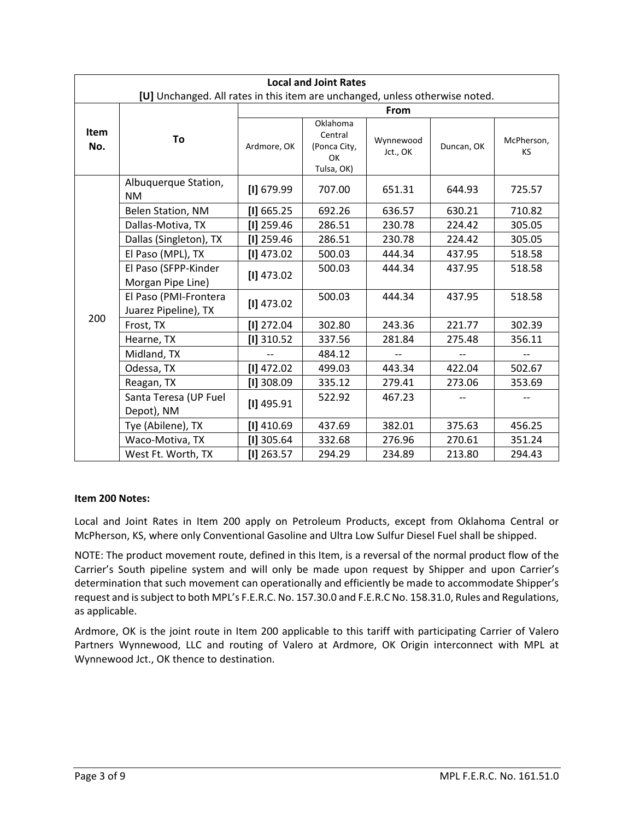|             | <b>Local and Joint Rates</b>                                                 |              |                                                         |                       |            |                         |  |
|-------------|------------------------------------------------------------------------------|--------------|---------------------------------------------------------|-----------------------|------------|-------------------------|--|
|             | [U] Unchanged. All rates in this item are unchanged, unless otherwise noted. |              |                                                         |                       |            |                         |  |
|             |                                                                              |              |                                                         | <b>From</b>           |            |                         |  |
| Item<br>No. | To                                                                           | Ardmore, OK  | Oklahoma<br>Central<br>(Ponca City,<br>OK<br>Tulsa, OK) | Wynnewood<br>Jct., OK | Duncan, OK | McPherson,<br><b>KS</b> |  |
|             | Albuquerque Station,<br><b>NM</b>                                            | $[1]$ 679.99 | 707.00                                                  | 651.31                | 644.93     | 725.57                  |  |
|             | Belen Station, NM                                                            | [1] 665.25   | 692.26                                                  | 636.57                | 630.21     | 710.82                  |  |
|             | Dallas-Motiva, TX                                                            | $[1]$ 259.46 | 286.51                                                  | 230.78                | 224.42     | 305.05                  |  |
|             | Dallas (Singleton), TX                                                       | $[1]$ 259.46 | 286.51                                                  | 230.78                | 224.42     | 305.05                  |  |
|             | El Paso (MPL), TX                                                            | $[1]$ 473.02 | 500.03                                                  | 444.34                | 437.95     | 518.58                  |  |
|             | El Paso (SFPP-Kinder<br>Morgan Pipe Line)                                    | $[1]$ 473.02 | 500.03                                                  | 444.34                | 437.95     | 518.58                  |  |
| 200         | El Paso (PMI-Frontera<br>Juarez Pipeline), TX                                | $[1]$ 473.02 | 500.03                                                  | 444.34                | 437.95     | 518.58                  |  |
|             | Frost, TX                                                                    | $[1]$ 272.04 | 302.80                                                  | 243.36                | 221.77     | 302.39                  |  |
|             | Hearne, TX                                                                   | $[1]$ 310.52 | 337.56                                                  | 281.84                | 275.48     | 356.11                  |  |
|             | Midland, TX                                                                  |              | 484.12                                                  |                       |            |                         |  |
|             | Odessa, TX                                                                   | $[1]$ 472.02 | 499.03                                                  | 443.34                | 422.04     | 502.67                  |  |
|             | Reagan, TX                                                                   | $[1]$ 308.09 | 335.12                                                  | 279.41                | 273.06     | 353.69                  |  |
|             | Santa Teresa (UP Fuel<br>Depot), NM                                          | $[1]$ 495.91 | 522.92                                                  | 467.23                |            |                         |  |
|             | Tye (Abilene), TX                                                            | $[1]$ 410.69 | 437.69                                                  | 382.01                | 375.63     | 456.25                  |  |
|             | Waco-Motiva, TX                                                              | $[1]$ 305.64 | 332.68                                                  | 276.96                | 270.61     | 351.24                  |  |
|             | West Ft. Worth, TX                                                           | $[1]$ 263.57 | 294.29                                                  | 234.89                | 213.80     | 294.43                  |  |

### **Item 200 Notes:**

Local and Joint Rates in Item 200 apply on Petroleum Products, except from Oklahoma Central or McPherson, KS, where only Conventional Gasoline and Ultra Low Sulfur Diesel Fuel shall be shipped.

NOTE: The product movement route, defined in this Item, is a reversal of the normal product flow of the Carrier's South pipeline system and will only be made upon request by Shipper and upon Carrier's determination that such movement can operationally and efficiently be made to accommodate Shipper's request and is subject to both MPL's F.E.R.C. No. 157.30.0 and F.E.R.C No. 158.31.0, Rules and Regulations, as applicable.

Ardmore, OK is the joint route in Item 200 applicable to this tariff with participating Carrier of Valero Partners Wynnewood, LLC and routing of Valero at Ardmore, OK Origin interconnect with MPL at Wynnewood Jct., OK thence to destination.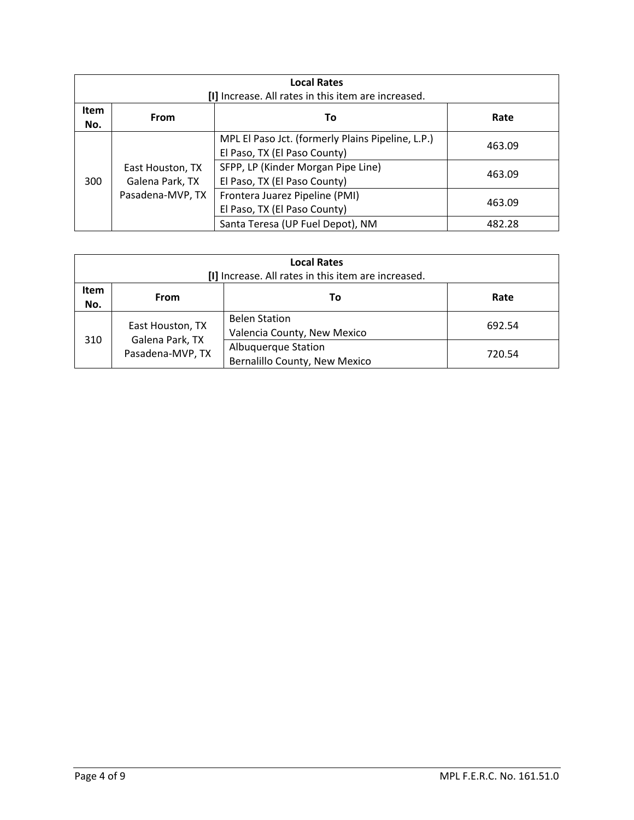| <b>Local Rates</b><br>[I] Increase. All rates in this item are increased. |                                     |                                                                                   |        |  |  |
|---------------------------------------------------------------------------|-------------------------------------|-----------------------------------------------------------------------------------|--------|--|--|
| <b>Item</b><br>No.                                                        | <b>From</b>                         | Τo                                                                                | Rate   |  |  |
|                                                                           |                                     | MPL El Paso Jct. (formerly Plains Pipeline, L.P.)<br>El Paso, TX (El Paso County) | 463.09 |  |  |
| 300                                                                       | East Houston, TX<br>Galena Park, TX | SFPP, LP (Kinder Morgan Pipe Line)<br>El Paso, TX (El Paso County)                | 463.09 |  |  |
|                                                                           | Pasadena-MVP, TX                    | Frontera Juarez Pipeline (PMI)<br>El Paso, TX (El Paso County)                    | 463.09 |  |  |
|                                                                           |                                     | Santa Teresa (UP Fuel Depot), NM                                                  | 482.28 |  |  |

| <b>Local Rates</b><br>[I] Increase. All rates in this item are increased. |                                     |                                                      |        |  |  |
|---------------------------------------------------------------------------|-------------------------------------|------------------------------------------------------|--------|--|--|
| Item<br>No.                                                               | Rate<br>From<br>Τo                  |                                                      |        |  |  |
|                                                                           | East Houston, TX                    | <b>Belen Station</b><br>Valencia County, New Mexico  | 692.54 |  |  |
| 310                                                                       | Galena Park, TX<br>Pasadena-MVP, TX | Albuquerque Station<br>Bernalillo County, New Mexico | 720.54 |  |  |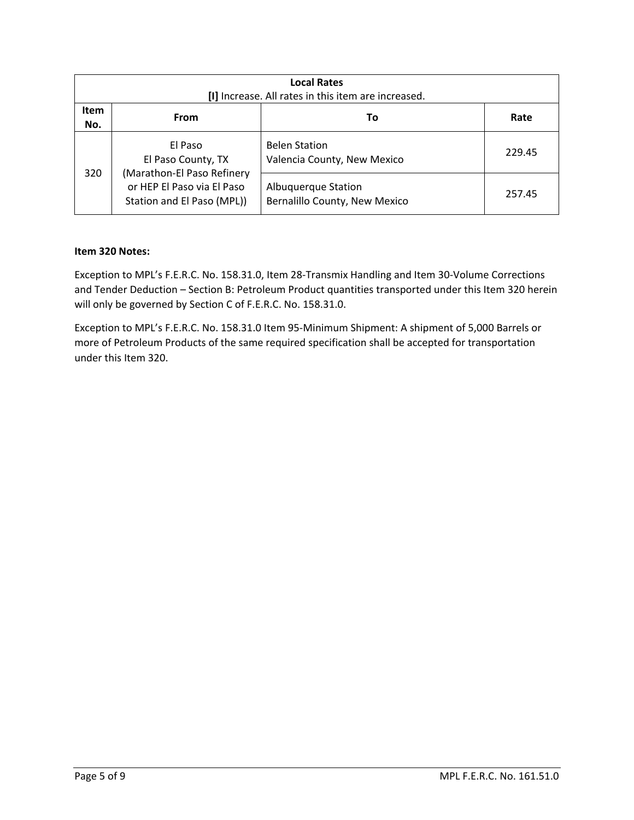|                    | <b>Local Rates</b><br>[I] Increase. All rates in this item are increased.              |                                                      |        |  |  |  |
|--------------------|----------------------------------------------------------------------------------------|------------------------------------------------------|--------|--|--|--|
| <b>Item</b><br>No. | <b>From</b>                                                                            | То                                                   | Rate   |  |  |  |
|                    | El Paso<br>El Paso County, TX                                                          | <b>Belen Station</b><br>Valencia County, New Mexico  | 229.45 |  |  |  |
| 320                | (Marathon-El Paso Refinery<br>or HEP El Paso via El Paso<br>Station and El Paso (MPL)) | Albuquerque Station<br>Bernalillo County, New Mexico | 257.45 |  |  |  |

### **Item 320 Notes:**

Exception to MPL's F.E.R.C. No. 158.31.0, Item 28-Transmix Handling and Item 30-Volume Corrections and Tender Deduction – Section B: Petroleum Product quantities transported under this Item 320 herein will only be governed by Section C of F.E.R.C. No. 158.31.0.

Exception to MPL's F.E.R.C. No. 158.31.0 Item 95-Minimum Shipment: A shipment of 5,000 Barrels or more of Petroleum Products of the same required specification shall be accepted for transportation under this Item 320.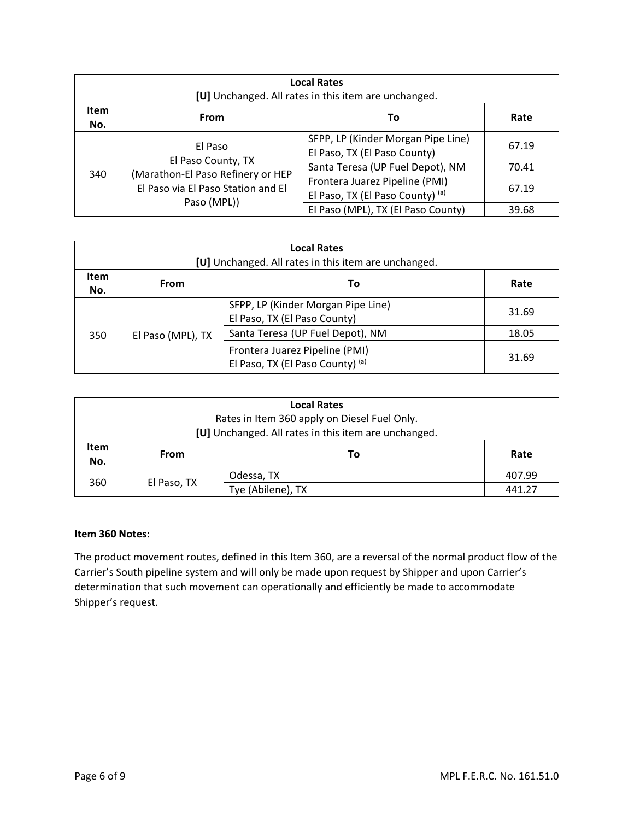| <b>Local Rates</b><br>[U] Unchanged. All rates in this item are unchanged. |                                                                                                          |                                                                    |       |  |  |
|----------------------------------------------------------------------------|----------------------------------------------------------------------------------------------------------|--------------------------------------------------------------------|-------|--|--|
| <b>Item</b><br>No.                                                         | <b>From</b>                                                                                              | Τo                                                                 | Rate  |  |  |
| 340                                                                        | El Paso<br>El Paso County, TX<br>(Marathon-El Paso Refinery or HEP<br>El Paso via El Paso Station and El | SFPP, LP (Kinder Morgan Pipe Line)<br>El Paso, TX (El Paso County) | 67.19 |  |  |
|                                                                            |                                                                                                          | Santa Teresa (UP Fuel Depot), NM                                   | 70.41 |  |  |
|                                                                            |                                                                                                          | Frontera Juarez Pipeline (PMI)<br>El Paso, TX (El Paso County) (a) | 67.19 |  |  |
|                                                                            | Paso (MPL))                                                                                              | El Paso (MPL), TX (El Paso County)                                 | 39.68 |  |  |

| <b>Local Rates</b><br>[U] Unchanged. All rates in this item are unchanged. |                           |                                                                    |       |  |  |  |
|----------------------------------------------------------------------------|---------------------------|--------------------------------------------------------------------|-------|--|--|--|
| Item<br>No.                                                                | Rate<br><b>From</b><br>Τo |                                                                    |       |  |  |  |
| 350                                                                        | El Paso (MPL), TX         | SFPP, LP (Kinder Morgan Pipe Line)<br>El Paso, TX (El Paso County) | 31.69 |  |  |  |
|                                                                            |                           | Santa Teresa (UP Fuel Depot), NM                                   | 18.05 |  |  |  |
|                                                                            |                           | Frontera Juarez Pipeline (PMI)<br>El Paso, TX (El Paso County) (a) | 31.69 |  |  |  |

| <b>Local Rates</b> |             |                                                      |        |  |
|--------------------|-------------|------------------------------------------------------|--------|--|
|                    |             | Rates in Item 360 apply on Diesel Fuel Only.         |        |  |
|                    |             | [U] Unchanged. All rates in this item are unchanged. |        |  |
| <b>Item</b>        | To<br>From  |                                                      | Rate   |  |
| No.                |             |                                                      |        |  |
|                    |             | Odessa, TX                                           | 407.99 |  |
| 360                | El Paso, TX | Tye (Abilene), TX                                    | 441.27 |  |

### **Item 360 Notes:**

The product movement routes, defined in this Item 360, are a reversal of the normal product flow of the Carrier's South pipeline system and will only be made upon request by Shipper and upon Carrier's determination that such movement can operationally and efficiently be made to accommodate Shipper's request.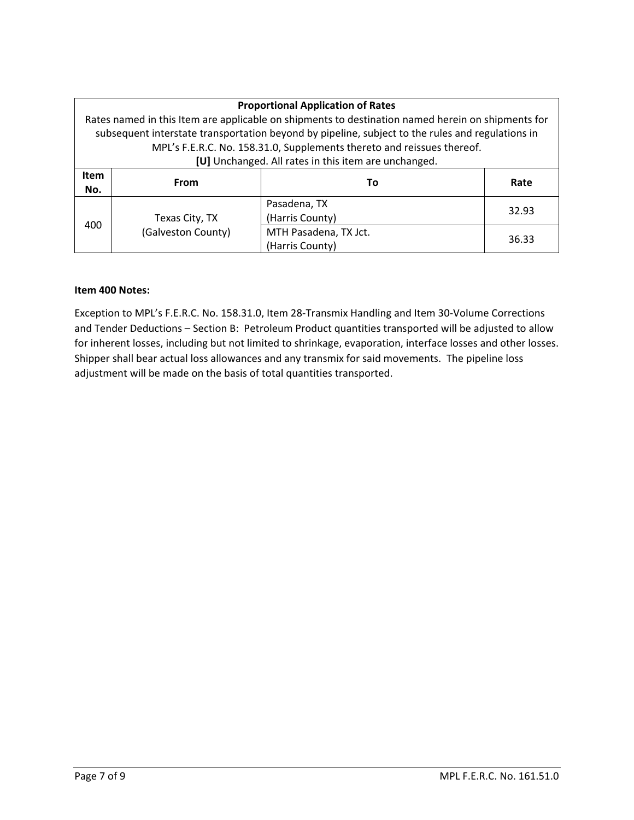| <b>Proportional Application of Rates</b> |                    |                                                                                                   |       |  |
|------------------------------------------|--------------------|---------------------------------------------------------------------------------------------------|-------|--|
|                                          |                    | Rates named in this Item are applicable on shipments to destination named herein on shipments for |       |  |
|                                          |                    | subsequent interstate transportation beyond by pipeline, subject to the rules and regulations in  |       |  |
|                                          |                    | MPL's F.E.R.C. No. 158.31.0, Supplements thereto and reissues thereof.                            |       |  |
|                                          |                    | [U] Unchanged. All rates in this item are unchanged.                                              |       |  |
| <b>Item</b>                              | From               | Тο                                                                                                | Rate  |  |
| No.                                      |                    |                                                                                                   |       |  |
|                                          |                    | Pasadena, TX                                                                                      | 32.93 |  |
| 400                                      | Texas City, TX     | (Harris County)                                                                                   |       |  |
|                                          | (Galveston County) | MTH Pasadena, TX Jct.                                                                             | 36.33 |  |
|                                          |                    | (Harris County)                                                                                   |       |  |

### **Item 400 Notes:**

Exception to MPL's F.E.R.C. No. 158.31.0, Item 28-Transmix Handling and Item 30-Volume Corrections and Tender Deductions – Section B: Petroleum Product quantities transported will be adjusted to allow for inherent losses, including but not limited to shrinkage, evaporation, interface losses and other losses. Shipper shall bear actual loss allowances and any transmix for said movements. The pipeline loss adjustment will be made on the basis of total quantities transported.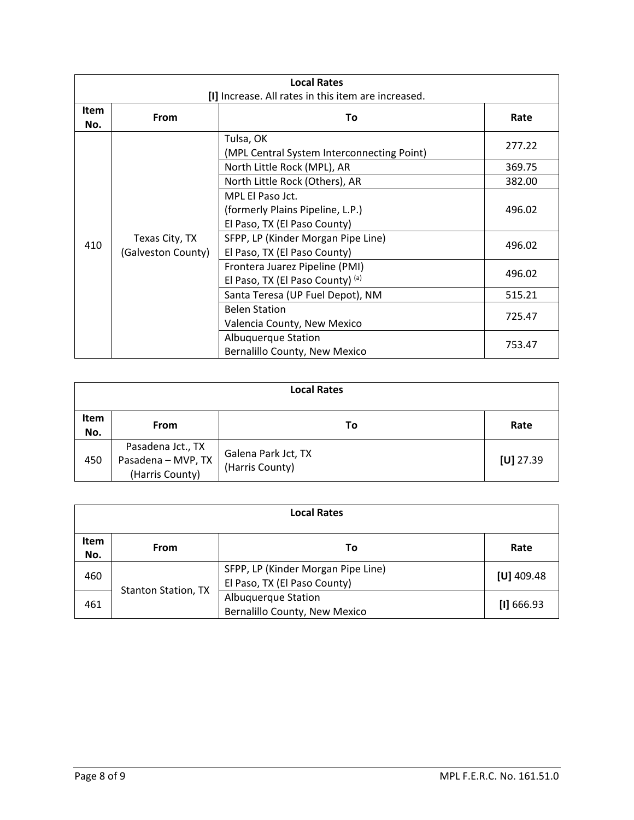| <b>Local Rates</b> |                                      |                                                         |        |
|--------------------|--------------------------------------|---------------------------------------------------------|--------|
|                    |                                      | [I] Increase. All rates in this item are increased.     |        |
| <b>Item</b><br>No. | From                                 | To                                                      | Rate   |
|                    |                                      | Tulsa, OK<br>(MPL Central System Interconnecting Point) | 277.22 |
|                    |                                      | North Little Rock (MPL), AR                             | 369.75 |
|                    |                                      | North Little Rock (Others), AR                          | 382.00 |
|                    | Texas City, TX<br>(Galveston County) | MPL El Paso Jct.                                        |        |
|                    |                                      | (formerly Plains Pipeline, L.P.)                        | 496.02 |
|                    |                                      | El Paso, TX (El Paso County)                            |        |
| 410                |                                      | SFPP, LP (Kinder Morgan Pipe Line)                      | 496.02 |
|                    |                                      | El Paso, TX (El Paso County)                            |        |
|                    |                                      | Frontera Juarez Pipeline (PMI)                          | 496.02 |
|                    |                                      | El Paso, TX (El Paso County) (a)                        |        |
|                    |                                      | Santa Teresa (UP Fuel Depot), NM                        | 515.21 |
|                    |                                      | <b>Belen Station</b>                                    |        |
|                    |                                      | Valencia County, New Mexico                             | 725.47 |
|                    |                                      | Albuquerque Station                                     |        |
|                    |                                      | Bernalillo County, New Mexico                           | 753.47 |

| <b>Local Rates</b> |                                                            |                                        |             |  |
|--------------------|------------------------------------------------------------|----------------------------------------|-------------|--|
| Item<br>No.        | <b>From</b>                                                | To                                     | Rate        |  |
| 450                | Pasadena Jct., TX<br>Pasadena - MVP, TX<br>(Harris County) | Galena Park Jct, TX<br>(Harris County) | $[U]$ 27.39 |  |

| <b>Local Rates</b> |                            |                                                                    |              |  |
|--------------------|----------------------------|--------------------------------------------------------------------|--------------|--|
| <b>Item</b><br>No. | From                       | Τo                                                                 | Rate         |  |
| 460                | <b>Stanton Station, TX</b> | SFPP, LP (Kinder Morgan Pipe Line)<br>El Paso, TX (El Paso County) | $[U]$ 409.48 |  |
| 461                |                            | Albuquerque Station<br>Bernalillo County, New Mexico               | [1] 666.93   |  |